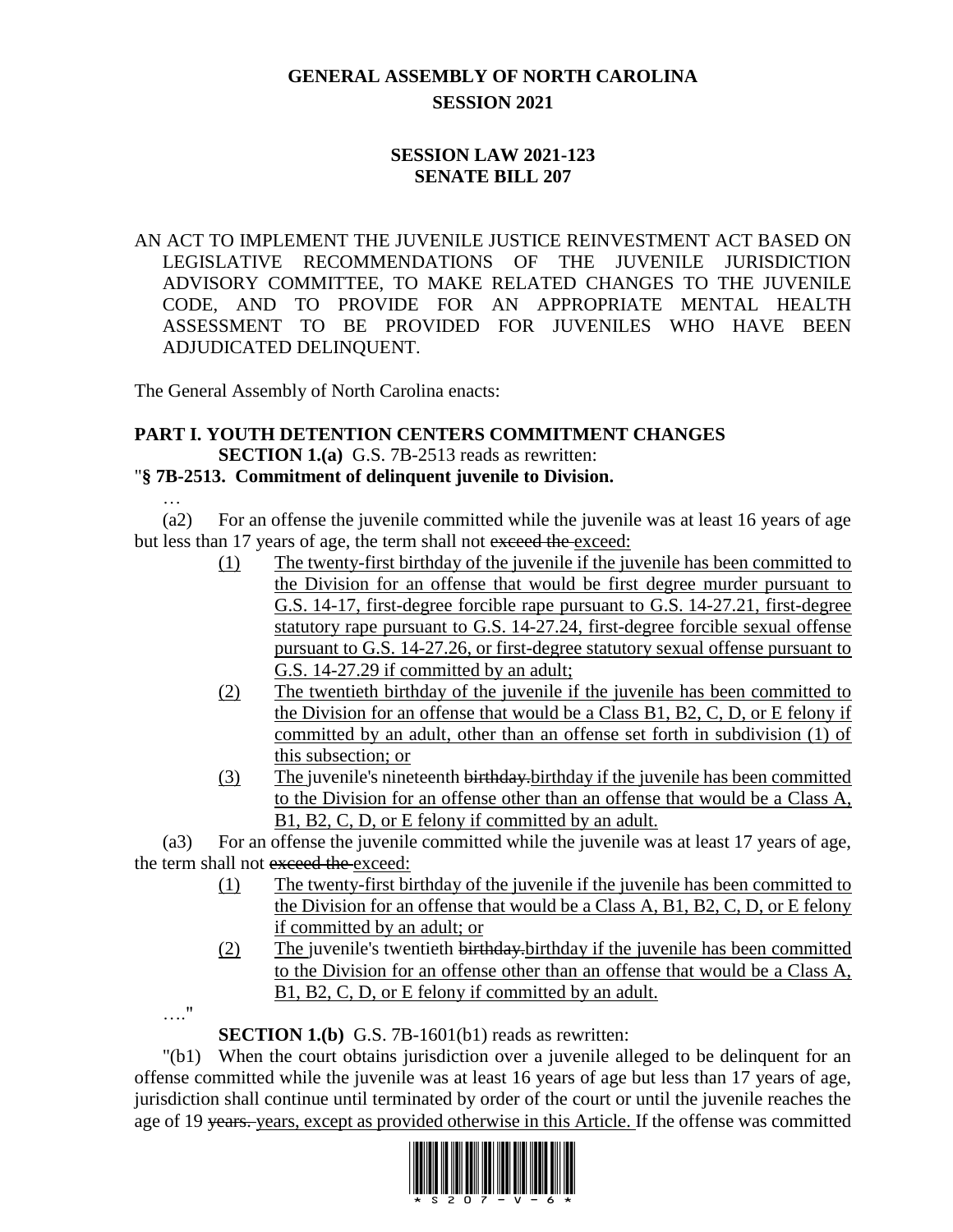# **GENERAL ASSEMBLY OF NORTH CAROLINA SESSION 2021**

## **SESSION LAW 2021-123 SENATE BILL 207**

AN ACT TO IMPLEMENT THE JUVENILE JUSTICE REINVESTMENT ACT BASED ON LEGISLATIVE RECOMMENDATIONS OF THE JUVENILE JURISDICTION ADVISORY COMMITTEE, TO MAKE RELATED CHANGES TO THE JUVENILE CODE, AND TO PROVIDE FOR AN APPROPRIATE MENTAL HEALTH ASSESSMENT TO BE PROVIDED FOR JUVENILES WHO HAVE BEEN ADJUDICATED DELINQUENT.

The General Assembly of North Carolina enacts:

### **PART I. YOUTH DETENTION CENTERS COMMITMENT CHANGES SECTION 1.(a)** G.S. 7B-2513 reads as rewritten:

## "**§ 7B-2513. Commitment of delinquent juvenile to Division.**

(a2) For an offense the juvenile committed while the juvenile was at least 16 years of age but less than 17 years of age, the term shall not exceed the exceed:

- (1) The twenty-first birthday of the juvenile if the juvenile has been committed to the Division for an offense that would be first degree murder pursuant to G.S. 14-17, first-degree forcible rape pursuant to G.S. 14-27.21, first-degree statutory rape pursuant to G.S. 14-27.24, first-degree forcible sexual offense pursuant to G.S. 14-27.26, or first-degree statutory sexual offense pursuant to G.S. 14-27.29 if committed by an adult;
- (2) The twentieth birthday of the juvenile if the juvenile has been committed to the Division for an offense that would be a Class B1, B2, C, D, or E felony if committed by an adult, other than an offense set forth in subdivision (1) of this subsection; or
- (3) The juvenile's nineteenth birthday.birthday if the juvenile has been committed to the Division for an offense other than an offense that would be a Class A, B1, B2, C, D, or E felony if committed by an adult.

(a3) For an offense the juvenile committed while the juvenile was at least 17 years of age, the term shall not exceed the exceed:

- (1) The twenty-first birthday of the juvenile if the juvenile has been committed to the Division for an offense that would be a Class A, B1, B2, C, D, or E felony if committed by an adult; or
- (2) The juvenile's twentieth birthday.birthday if the juvenile has been committed to the Division for an offense other than an offense that would be a Class A, B1, B2, C, D, or E felony if committed by an adult.

…."

…

**SECTION 1.(b)** G.S. 7B-1601(b1) reads as rewritten:

"(b1) When the court obtains jurisdiction over a juvenile alleged to be delinquent for an offense committed while the juvenile was at least 16 years of age but less than 17 years of age, jurisdiction shall continue until terminated by order of the court or until the juvenile reaches the age of 19 years. years, except as provided otherwise in this Article. If the offense was committed

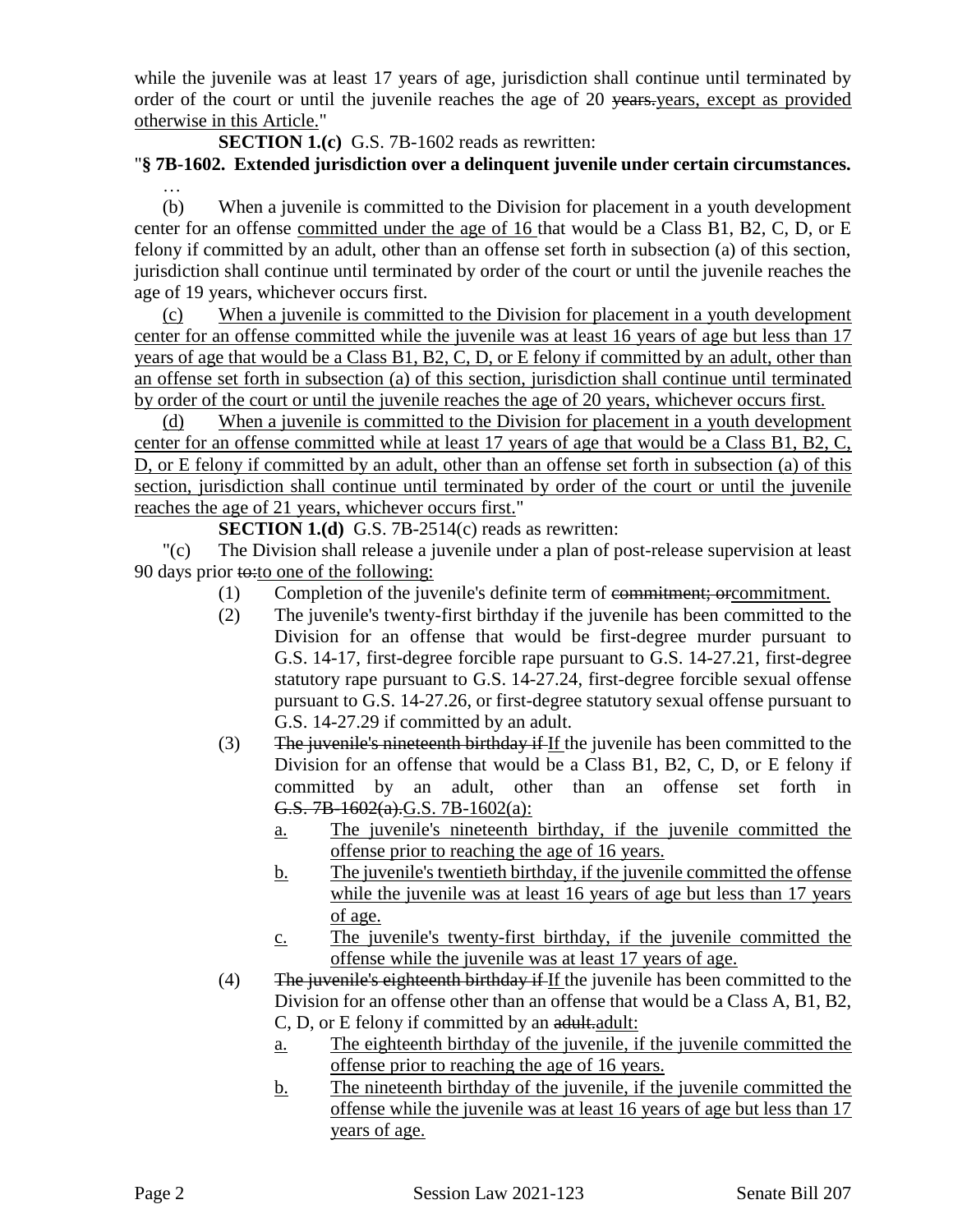while the juvenile was at least 17 years of age, jurisdiction shall continue until terminated by order of the court or until the juvenile reaches the age of 20 years, except as provided otherwise in this Article."

**SECTION 1.(c)** G.S. 7B-1602 reads as rewritten:

### "**§ 7B-1602. Extended jurisdiction over a delinquent juvenile under certain circumstances.** …

(b) When a juvenile is committed to the Division for placement in a youth development center for an offense committed under the age of 16 that would be a Class B1, B2, C, D, or E felony if committed by an adult, other than an offense set forth in subsection (a) of this section, jurisdiction shall continue until terminated by order of the court or until the juvenile reaches the age of 19 years, whichever occurs first.

(c) When a juvenile is committed to the Division for placement in a youth development center for an offense committed while the juvenile was at least 16 years of age but less than 17 years of age that would be a Class B1, B2, C, D, or E felony if committed by an adult, other than an offense set forth in subsection (a) of this section, jurisdiction shall continue until terminated by order of the court or until the juvenile reaches the age of 20 years, whichever occurs first.

(d) When a juvenile is committed to the Division for placement in a youth development center for an offense committed while at least 17 years of age that would be a Class B1, B2, C, D, or E felony if committed by an adult, other than an offense set forth in subsection (a) of this section, jurisdiction shall continue until terminated by order of the court or until the juvenile reaches the age of 21 years, whichever occurs first."

**SECTION 1.(d)** G.S. 7B-2514(c) reads as rewritten:

"(c) The Division shall release a juvenile under a plan of post-release supervision at least 90 days prior  $\text{t}$  $\leftrightarrow$ : to one of the following:

- (1) Completion of the juvenile's definite term of commitment; orcommitment.
- (2) The juvenile's twenty-first birthday if the juvenile has been committed to the Division for an offense that would be first-degree murder pursuant to G.S. 14-17, first-degree forcible rape pursuant to G.S. 14-27.21, first-degree statutory rape pursuant to G.S. 14-27.24, first-degree forcible sexual offense pursuant to G.S. 14-27.26, or first-degree statutory sexual offense pursuant to G.S. 14-27.29 if committed by an adult.
- (3) The juvenile's nineteenth birthday if If the juvenile has been committed to the Division for an offense that would be a Class B1, B2, C, D, or E felony if committed by an adult, other than an offense set forth in G.S. 7B-1602(a).G.S. 7B-1602(a):
	- a. The juvenile's nineteenth birthday, if the juvenile committed the offense prior to reaching the age of 16 years.
	- b. The juvenile's twentieth birthday, if the juvenile committed the offense while the juvenile was at least 16 years of age but less than 17 years of age.
	- c. The juvenile's twenty-first birthday, if the juvenile committed the offense while the juvenile was at least 17 years of age.
- (4) The juvenile's eighteenth birthday if If the juvenile has been committed to the Division for an offense other than an offense that would be a Class A, B1, B2, C, D, or E felony if committed by an adult. Adult:
	- a. The eighteenth birthday of the juvenile, if the juvenile committed the offense prior to reaching the age of 16 years.
	- b. The nineteenth birthday of the juvenile, if the juvenile committed the offense while the juvenile was at least 16 years of age but less than 17 years of age.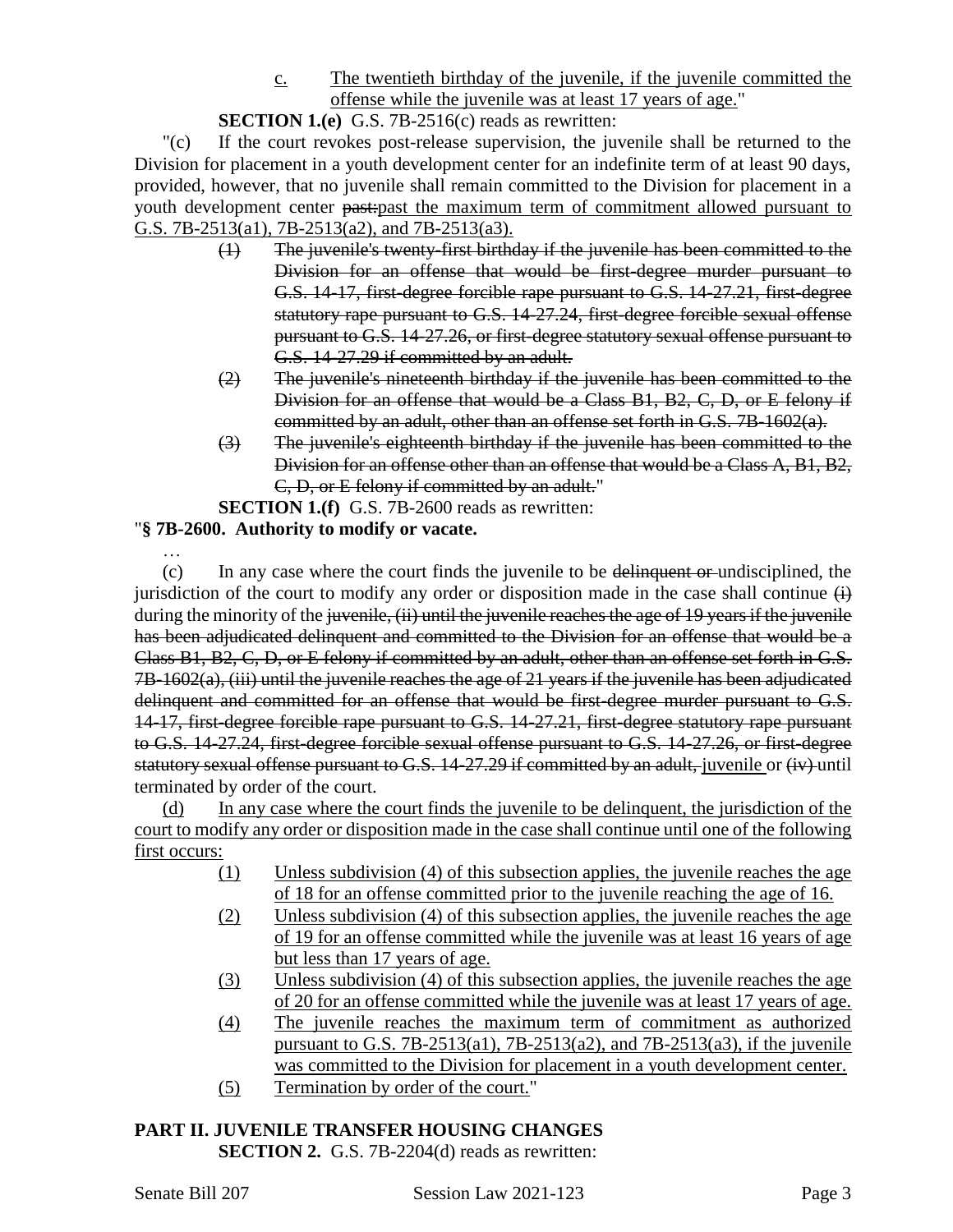c. The twentieth birthday of the juvenile, if the juvenile committed the offense while the juvenile was at least 17 years of age."

## **SECTION 1.(e)** G.S. 7B-2516(c) reads as rewritten:

"(c) If the court revokes post-release supervision, the juvenile shall be returned to the Division for placement in a youth development center for an indefinite term of at least 90 days, provided, however, that no juvenile shall remain committed to the Division for placement in a youth development center past:past the maximum term of commitment allowed pursuant to G.S. 7B-2513(a1), 7B-2513(a2), and 7B-2513(a3).

- (1) The juvenile's twenty-first birthday if the juvenile has been committed to the Division for an offense that would be first-degree murder pursuant to G.S. 14-17, first-degree forcible rape pursuant to G.S. 14-27.21, first-degree statutory rape pursuant to G.S. 14-27.24, first-degree forcible sexual offense pursuant to G.S. 14-27.26, or first-degree statutory sexual offense pursuant to G.S. 14-27.29 if committed by an adult.
- (2) The juvenile's nineteenth birthday if the juvenile has been committed to the Division for an offense that would be a Class B1, B2, C, D, or E felony if committed by an adult, other than an offense set forth in G.S. 7B-1602(a).
- (3) The juvenile's eighteenth birthday if the juvenile has been committed to the Division for an offense other than an offense that would be a Class A, B1, B2, C, D, or E felony if committed by an adult."

**SECTION 1.(f)** G.S. 7B-2600 reads as rewritten:

# "**§ 7B-2600. Authority to modify or vacate.**

… (c) In any case where the court finds the juvenile to be delinquent or undisciplined, the jurisdiction of the court to modify any order or disposition made in the case shall continue  $\leftrightarrow$ during the minority of the juvenile, (ii) until the juvenile reaches the age of 19 years if the juvenile has been adjudicated delinquent and committed to the Division for an offense that would be a Class B1, B2, C, D, or E felony if committed by an adult, other than an offense set forth in G.S. 7B-1602(a), (iii) until the juvenile reaches the age of 21 years if the juvenile has been adjudicated delinquent and committed for an offense that would be first-degree murder pursuant to G.S. 14-17, first-degree forcible rape pursuant to G.S. 14-27.21, first-degree statutory rape pursuant to G.S. 14-27.24, first-degree forcible sexual offense pursuant to G.S. 14-27.26, or first-degree statutory sexual offense pursuant to G.S. 14-27.29 if committed by an adult, juvenile or (iv) until terminated by order of the court.

(d) In any case where the court finds the juvenile to be delinquent, the jurisdiction of the court to modify any order or disposition made in the case shall continue until one of the following first occurs:

- (1) Unless subdivision (4) of this subsection applies, the juvenile reaches the age of 18 for an offense committed prior to the juvenile reaching the age of 16.
- (2) Unless subdivision (4) of this subsection applies, the juvenile reaches the age of 19 for an offense committed while the juvenile was at least 16 years of age but less than 17 years of age.
- (3) Unless subdivision (4) of this subsection applies, the juvenile reaches the age of 20 for an offense committed while the juvenile was at least 17 years of age.
- (4) The juvenile reaches the maximum term of commitment as authorized pursuant to G.S. 7B-2513(a1), 7B-2513(a2), and 7B-2513(a3), if the juvenile was committed to the Division for placement in a youth development center.
- (5) Termination by order of the court."

#### **PART II. JUVENILE TRANSFER HOUSING CHANGES SECTION 2.** G.S. 7B-2204(d) reads as rewritten: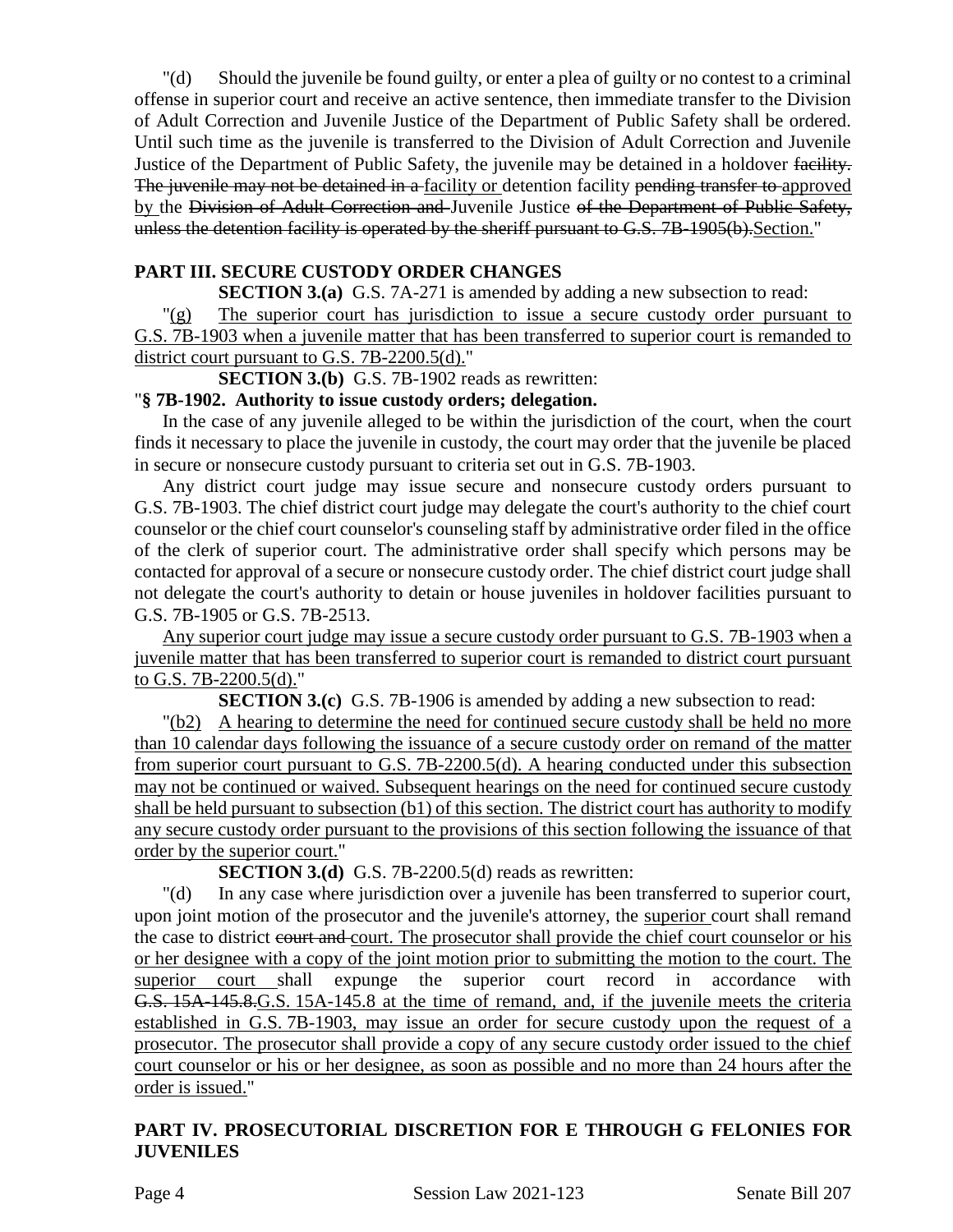"(d) Should the juvenile be found guilty, or enter a plea of guilty or no contest to a criminal offense in superior court and receive an active sentence, then immediate transfer to the Division of Adult Correction and Juvenile Justice of the Department of Public Safety shall be ordered. Until such time as the juvenile is transferred to the Division of Adult Correction and Juvenile Justice of the Department of Public Safety, the juvenile may be detained in a holdover facility. The juvenile may not be detained in a facility or detention facility pending transfer to approved by the Division of Adult Correction and Juvenile Justice of the Department of Public Safety, unless the detention facility is operated by the sheriff pursuant to G.S. 7B-1905(b). Section."

## **PART III. SECURE CUSTODY ORDER CHANGES**

**SECTION 3.(a)** G.S. 7A-271 is amended by adding a new subsection to read:

"(g) The superior court has jurisdiction to issue a secure custody order pursuant to G.S. 7B-1903 when a juvenile matter that has been transferred to superior court is remanded to district court pursuant to G.S. 7B-2200.5(d)."

**SECTION 3.(b)** G.S. 7B-1902 reads as rewritten:

### "**§ 7B-1902. Authority to issue custody orders; delegation.**

In the case of any juvenile alleged to be within the jurisdiction of the court, when the court finds it necessary to place the juvenile in custody, the court may order that the juvenile be placed in secure or nonsecure custody pursuant to criteria set out in G.S. 7B-1903.

Any district court judge may issue secure and nonsecure custody orders pursuant to G.S. 7B-1903. The chief district court judge may delegate the court's authority to the chief court counselor or the chief court counselor's counseling staff by administrative order filed in the office of the clerk of superior court. The administrative order shall specify which persons may be contacted for approval of a secure or nonsecure custody order. The chief district court judge shall not delegate the court's authority to detain or house juveniles in holdover facilities pursuant to G.S. 7B-1905 or G.S. 7B-2513.

Any superior court judge may issue a secure custody order pursuant to G.S. 7B-1903 when a juvenile matter that has been transferred to superior court is remanded to district court pursuant to G.S. 7B-2200.5(d)."

**SECTION 3.(c)** G.S. 7B-1906 is amended by adding a new subsection to read:

"(b2) A hearing to determine the need for continued secure custody shall be held no more than 10 calendar days following the issuance of a secure custody order on remand of the matter from superior court pursuant to G.S. 7B-2200.5(d). A hearing conducted under this subsection may not be continued or waived. Subsequent hearings on the need for continued secure custody shall be held pursuant to subsection (b1) of this section. The district court has authority to modify any secure custody order pursuant to the provisions of this section following the issuance of that order by the superior court."

**SECTION 3.(d)** G.S. 7B-2200.5(d) reads as rewritten:

"(d) In any case where jurisdiction over a juvenile has been transferred to superior court, upon joint motion of the prosecutor and the juvenile's attorney, the superior court shall remand the case to district court and court. The prosecutor shall provide the chief court counselor or his or her designee with a copy of the joint motion prior to submitting the motion to the court. The superior court shall expunge the superior court record in accordance with G.S. 15A-145.8.G.S. 15A-145.8 at the time of remand, and, if the juvenile meets the criteria established in G.S. 7B-1903, may issue an order for secure custody upon the request of a prosecutor. The prosecutor shall provide a copy of any secure custody order issued to the chief court counselor or his or her designee, as soon as possible and no more than 24 hours after the order is issued."

## **PART IV. PROSECUTORIAL DISCRETION FOR E THROUGH G FELONIES FOR JUVENILES**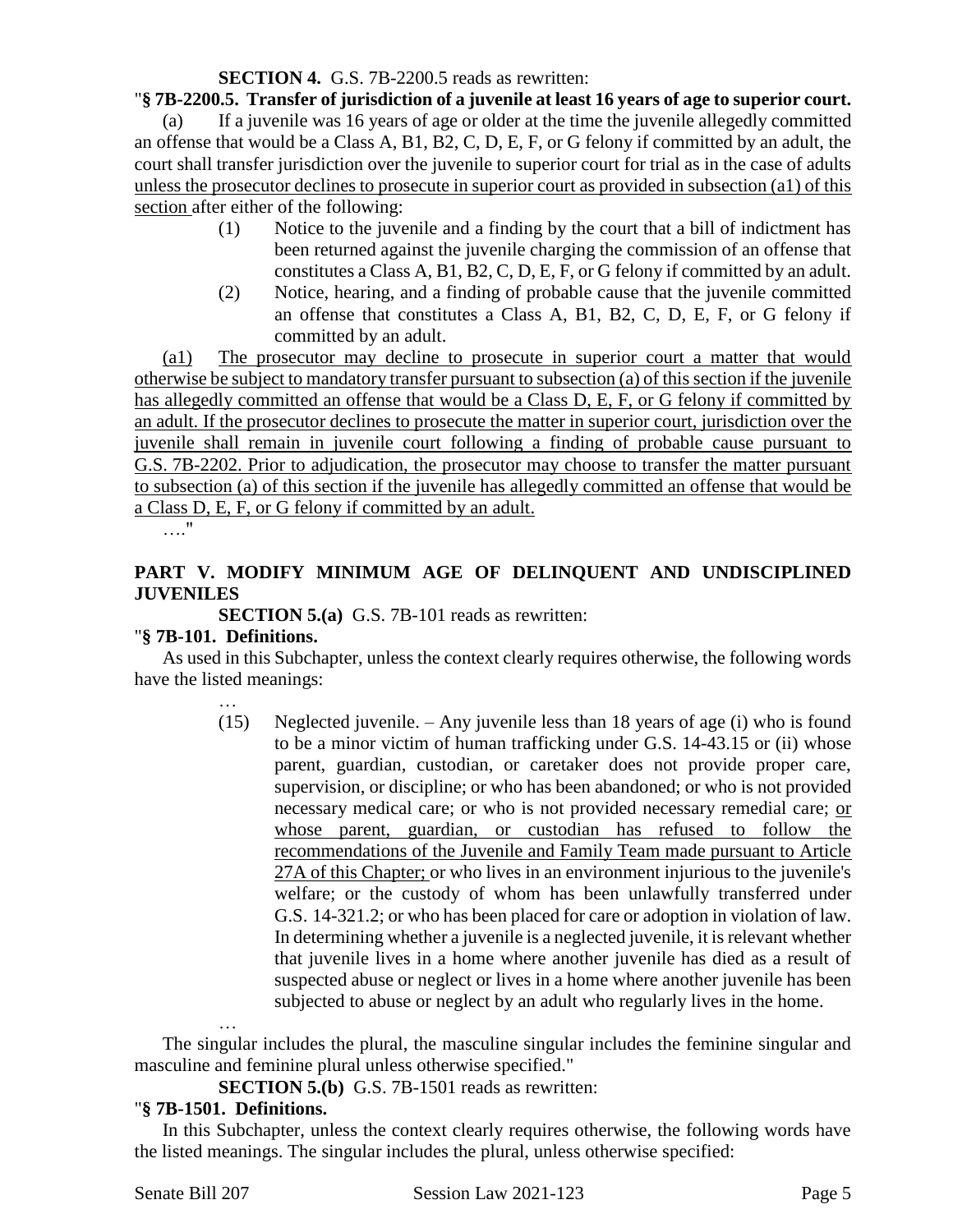### **SECTION 4.** G.S. 7B-2200.5 reads as rewritten:

#### "**§ 7B-2200.5. Transfer of jurisdiction of a juvenile at least 16 years of age to superior court.**

(a) If a juvenile was 16 years of age or older at the time the juvenile allegedly committed an offense that would be a Class A, B1, B2, C, D, E, F, or G felony if committed by an adult, the court shall transfer jurisdiction over the juvenile to superior court for trial as in the case of adults unless the prosecutor declines to prosecute in superior court as provided in subsection (a1) of this section after either of the following:

- (1) Notice to the juvenile and a finding by the court that a bill of indictment has been returned against the juvenile charging the commission of an offense that constitutes a Class A, B1, B2, C, D, E, F, or G felony if committed by an adult.
- (2) Notice, hearing, and a finding of probable cause that the juvenile committed an offense that constitutes a Class A, B1, B2, C, D, E, F, or G felony if committed by an adult.

(a1) The prosecutor may decline to prosecute in superior court a matter that would otherwise be subject to mandatory transfer pursuant to subsection (a) of this section if the juvenile has allegedly committed an offense that would be a Class D, E, F, or G felony if committed by an adult. If the prosecutor declines to prosecute the matter in superior court, jurisdiction over the juvenile shall remain in juvenile court following a finding of probable cause pursuant to G.S. 7B-2202. Prior to adjudication, the prosecutor may choose to transfer the matter pursuant to subsection (a) of this section if the juvenile has allegedly committed an offense that would be a Class D, E, F, or G felony if committed by an adult.

…."

## **PART V. MODIFY MINIMUM AGE OF DELINQUENT AND UNDISCIPLINED JUVENILES**

**SECTION 5.(a)** G.S. 7B-101 reads as rewritten:

### "**§ 7B-101. Definitions.**

As used in this Subchapter, unless the context clearly requires otherwise, the following words have the listed meanings:

> … (15) Neglected juvenile. – Any juvenile less than 18 years of age (i) who is found to be a minor victim of human trafficking under G.S. 14-43.15 or (ii) whose parent, guardian, custodian, or caretaker does not provide proper care, supervision, or discipline; or who has been abandoned; or who is not provided necessary medical care; or who is not provided necessary remedial care; or whose parent, guardian, or custodian has refused to follow the recommendations of the Juvenile and Family Team made pursuant to Article 27A of this Chapter; or who lives in an environment injurious to the juvenile's welfare; or the custody of whom has been unlawfully transferred under G.S. 14-321.2; or who has been placed for care or adoption in violation of law. In determining whether a juvenile is a neglected juvenile, it is relevant whether that juvenile lives in a home where another juvenile has died as a result of suspected abuse or neglect or lives in a home where another juvenile has been subjected to abuse or neglect by an adult who regularly lives in the home.

The singular includes the plural, the masculine singular includes the feminine singular and masculine and feminine plural unless otherwise specified."

**SECTION 5.(b)** G.S. 7B-1501 reads as rewritten:

## "**§ 7B-1501. Definitions.**

…

In this Subchapter, unless the context clearly requires otherwise, the following words have the listed meanings. The singular includes the plural, unless otherwise specified: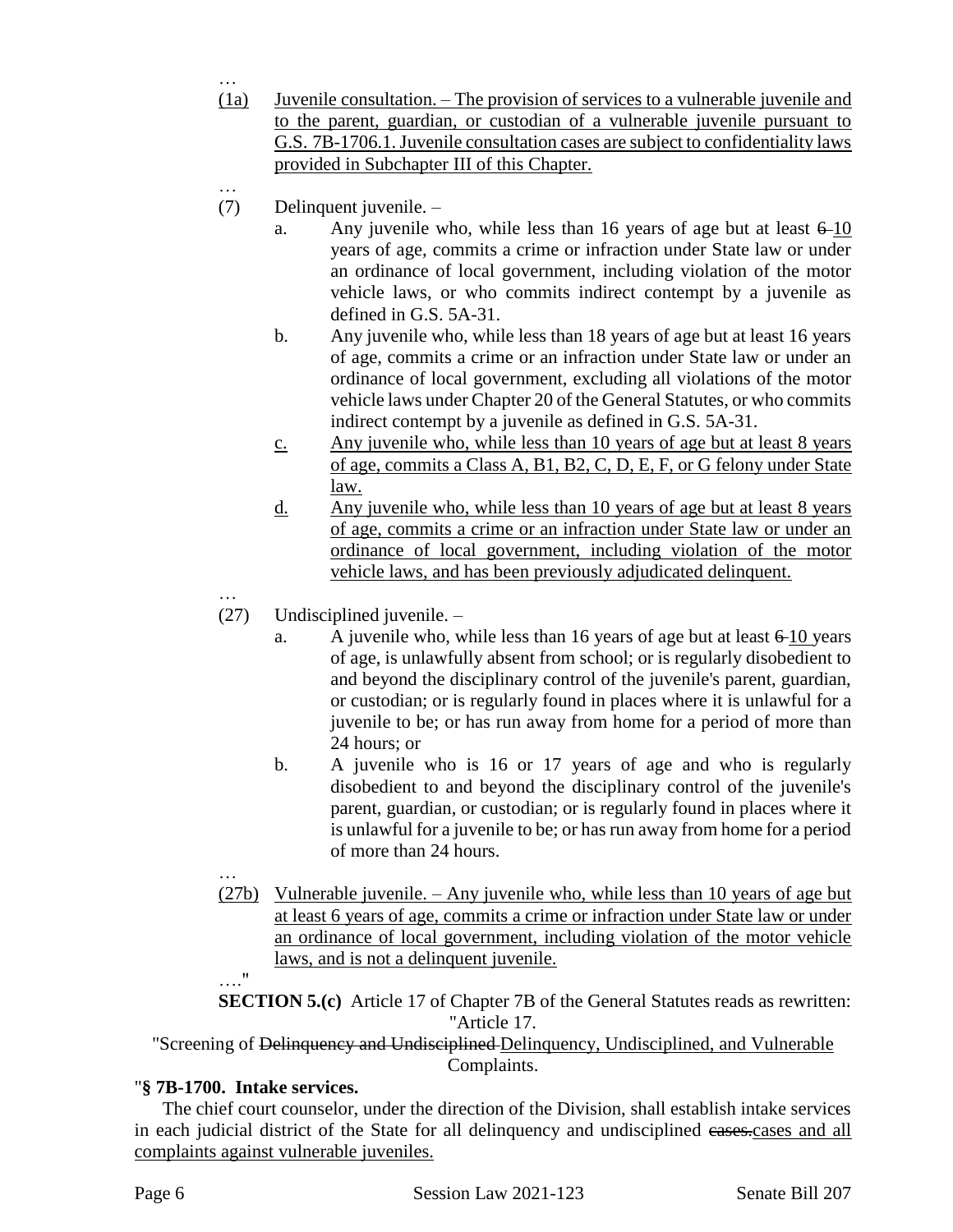- (1a) Juvenile consultation. The provision of services to a vulnerable juvenile and to the parent, guardian, or custodian of a vulnerable juvenile pursuant to G.S. 7B-1706.1. Juvenile consultation cases are subject to confidentiality laws provided in Subchapter III of this Chapter.
- … (7) Delinquent juvenile. –
	- a. Any juvenile who, while less than 16 years of age but at least  $6\n-10$ years of age, commits a crime or infraction under State law or under an ordinance of local government, including violation of the motor vehicle laws, or who commits indirect contempt by a juvenile as defined in G.S. 5A-31.
	- b. Any juvenile who, while less than 18 years of age but at least 16 years of age, commits a crime or an infraction under State law or under an ordinance of local government, excluding all violations of the motor vehicle laws under Chapter 20 of the General Statutes, or who commits indirect contempt by a juvenile as defined in G.S. 5A-31.
	- c. Any juvenile who, while less than 10 years of age but at least 8 years of age, commits a Class A, B1, B2, C, D, E, F, or G felony under State law.
	- d. Any juvenile who, while less than 10 years of age but at least 8 years of age, commits a crime or an infraction under State law or under an ordinance of local government, including violation of the motor vehicle laws, and has been previously adjudicated delinquent.
- …

…

- (27) Undisciplined juvenile.
	- a. A juvenile who, while less than 16 years of age but at least  $6-10$  years of age, is unlawfully absent from school; or is regularly disobedient to and beyond the disciplinary control of the juvenile's parent, guardian, or custodian; or is regularly found in places where it is unlawful for a juvenile to be; or has run away from home for a period of more than 24 hours; or
	- b. A juvenile who is 16 or 17 years of age and who is regularly disobedient to and beyond the disciplinary control of the juvenile's parent, guardian, or custodian; or is regularly found in places where it is unlawful for a juvenile to be; or has run away from home for a period of more than 24 hours.
- … (27b) Vulnerable juvenile. – Any juvenile who, while less than 10 years of age but at least 6 years of age, commits a crime or infraction under State law or under an ordinance of local government, including violation of the motor vehicle laws, and is not a delinquent juvenile.

…." **SECTION 5.(c)** Article 17 of Chapter 7B of the General Statutes reads as rewritten: "Article 17.

"Screening of Delinquency and Undisciplined Delinquency, Undisciplined, and Vulnerable Complaints.

# "**§ 7B-1700. Intake services.**

The chief court counselor, under the direction of the Division, shall establish intake services in each judicial district of the State for all delinquency and undisciplined cases.cases and all complaints against vulnerable juveniles.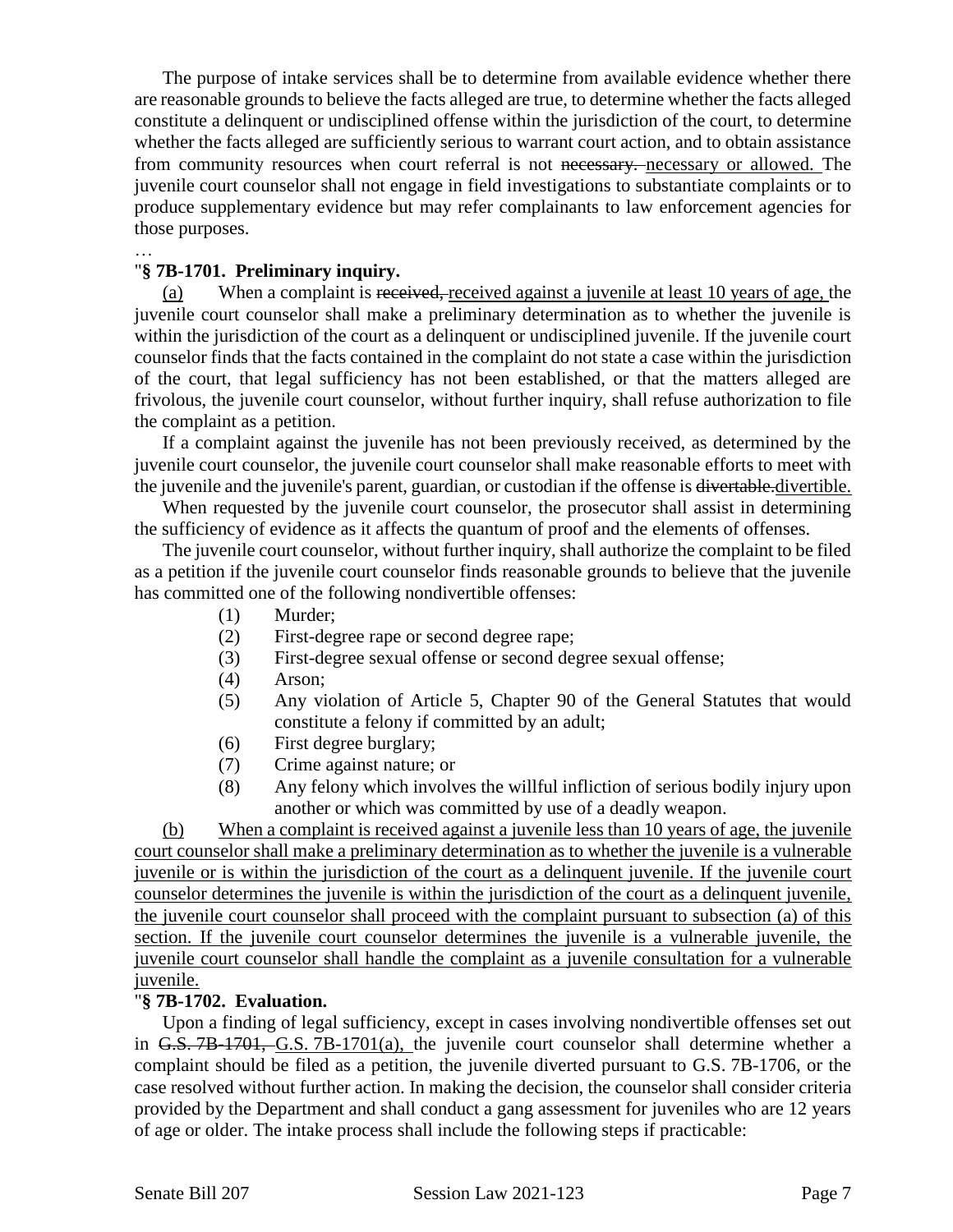The purpose of intake services shall be to determine from available evidence whether there are reasonable grounds to believe the facts alleged are true, to determine whether the facts alleged constitute a delinquent or undisciplined offense within the jurisdiction of the court, to determine whether the facts alleged are sufficiently serious to warrant court action, and to obtain assistance from community resources when court referral is not necessary. necessary or allowed. The juvenile court counselor shall not engage in field investigations to substantiate complaints or to produce supplementary evidence but may refer complainants to law enforcement agencies for those purposes.

### "**§ 7B-1701. Preliminary inquiry.**

…

(a) When a complaint is received, received against a juvenile at least 10 years of age, the juvenile court counselor shall make a preliminary determination as to whether the juvenile is within the jurisdiction of the court as a delinquent or undisciplined juvenile. If the juvenile court counselor finds that the facts contained in the complaint do not state a case within the jurisdiction of the court, that legal sufficiency has not been established, or that the matters alleged are frivolous, the juvenile court counselor, without further inquiry, shall refuse authorization to file the complaint as a petition.

If a complaint against the juvenile has not been previously received, as determined by the juvenile court counselor, the juvenile court counselor shall make reasonable efforts to meet with the juvenile and the juvenile's parent, guardian, or custodian if the offense is divertable.divertible.

When requested by the juvenile court counselor, the prosecutor shall assist in determining the sufficiency of evidence as it affects the quantum of proof and the elements of offenses.

The juvenile court counselor, without further inquiry, shall authorize the complaint to be filed as a petition if the juvenile court counselor finds reasonable grounds to believe that the juvenile has committed one of the following nondivertible offenses:

- (1) Murder;
- (2) First-degree rape or second degree rape;
- (3) First-degree sexual offense or second degree sexual offense;
- (4) Arson;
- (5) Any violation of Article 5, Chapter 90 of the General Statutes that would constitute a felony if committed by an adult;
- (6) First degree burglary;
- (7) Crime against nature; or
- (8) Any felony which involves the willful infliction of serious bodily injury upon another or which was committed by use of a deadly weapon.

(b) When a complaint is received against a juvenile less than 10 years of age, the juvenile court counselor shall make a preliminary determination as to whether the juvenile is a vulnerable juvenile or is within the jurisdiction of the court as a delinquent juvenile. If the juvenile court counselor determines the juvenile is within the jurisdiction of the court as a delinquent juvenile, the juvenile court counselor shall proceed with the complaint pursuant to subsection (a) of this section. If the juvenile court counselor determines the juvenile is a vulnerable juvenile, the juvenile court counselor shall handle the complaint as a juvenile consultation for a vulnerable juvenile.

#### "**§ 7B-1702. Evaluation.**

Upon a finding of legal sufficiency, except in cases involving nondivertible offenses set out in G.S. 7B-1701, G.S. 7B-1701(a), the juvenile court counselor shall determine whether a complaint should be filed as a petition, the juvenile diverted pursuant to G.S. 7B-1706, or the case resolved without further action. In making the decision, the counselor shall consider criteria provided by the Department and shall conduct a gang assessment for juveniles who are 12 years of age or older. The intake process shall include the following steps if practicable: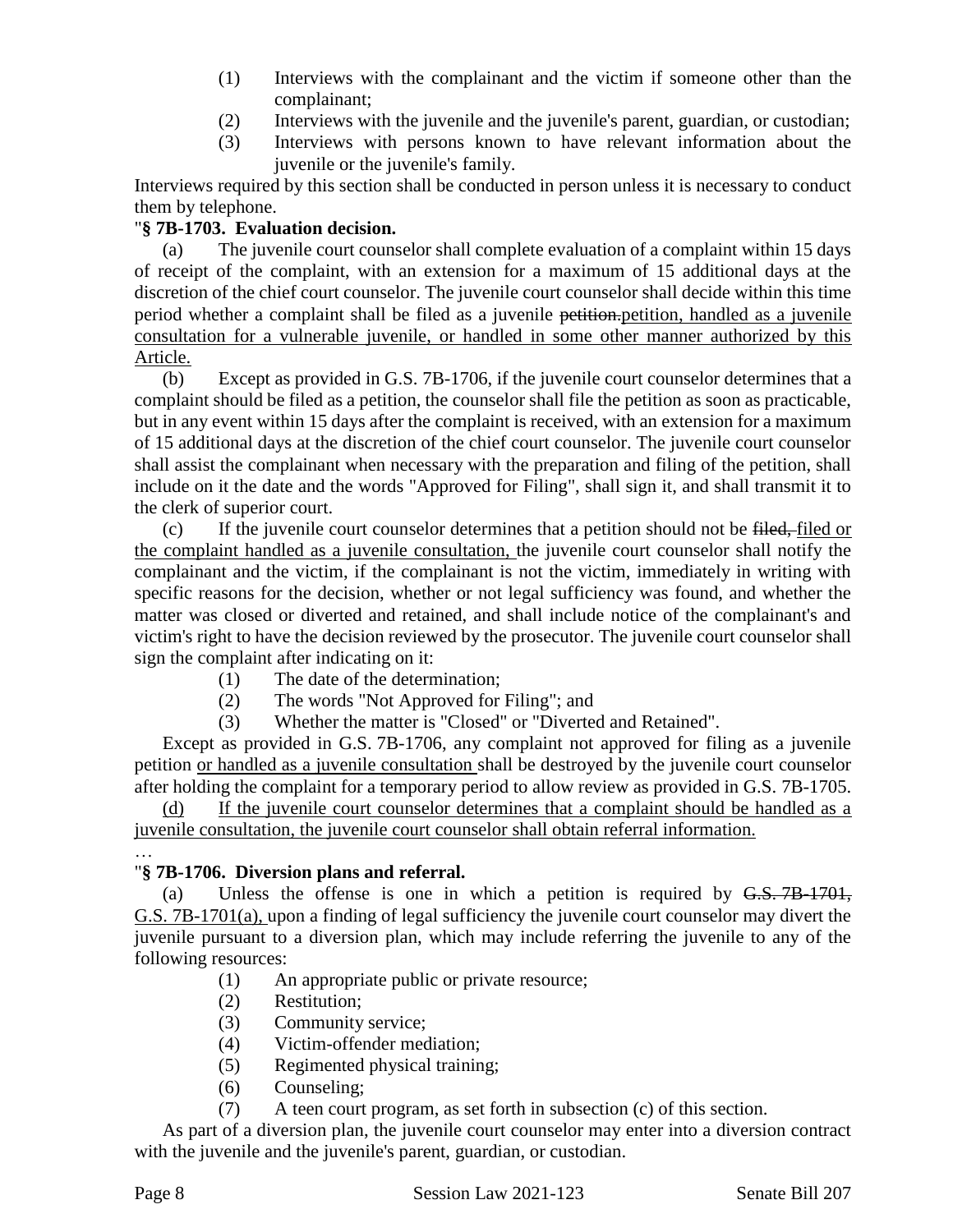- (1) Interviews with the complainant and the victim if someone other than the complainant;
- (2) Interviews with the juvenile and the juvenile's parent, guardian, or custodian;
- (3) Interviews with persons known to have relevant information about the juvenile or the juvenile's family.

Interviews required by this section shall be conducted in person unless it is necessary to conduct them by telephone.

## "**§ 7B-1703. Evaluation decision.**

(a) The juvenile court counselor shall complete evaluation of a complaint within 15 days of receipt of the complaint, with an extension for a maximum of 15 additional days at the discretion of the chief court counselor. The juvenile court counselor shall decide within this time period whether a complaint shall be filed as a juvenile petition.petition, handled as a juvenile consultation for a vulnerable juvenile, or handled in some other manner authorized by this Article.

(b) Except as provided in G.S. 7B-1706, if the juvenile court counselor determines that a complaint should be filed as a petition, the counselor shall file the petition as soon as practicable, but in any event within 15 days after the complaint is received, with an extension for a maximum of 15 additional days at the discretion of the chief court counselor. The juvenile court counselor shall assist the complainant when necessary with the preparation and filing of the petition, shall include on it the date and the words "Approved for Filing", shall sign it, and shall transmit it to the clerk of superior court.

(c) If the juvenile court counselor determines that a petition should not be filed, filed or the complaint handled as a juvenile consultation, the juvenile court counselor shall notify the complainant and the victim, if the complainant is not the victim, immediately in writing with specific reasons for the decision, whether or not legal sufficiency was found, and whether the matter was closed or diverted and retained, and shall include notice of the complainant's and victim's right to have the decision reviewed by the prosecutor. The juvenile court counselor shall sign the complaint after indicating on it:

- (1) The date of the determination;
- (2) The words "Not Approved for Filing"; and
- (3) Whether the matter is "Closed" or "Diverted and Retained".

Except as provided in G.S. 7B-1706, any complaint not approved for filing as a juvenile petition or handled as a juvenile consultation shall be destroyed by the juvenile court counselor after holding the complaint for a temporary period to allow review as provided in G.S. 7B-1705.

If the juvenile court counselor determines that a complaint should be handled as a juvenile consultation, the juvenile court counselor shall obtain referral information.

#### … "**§ 7B-1706. Diversion plans and referral.**

(a) Unless the offense is one in which a petition is required by G.S. 7B-1701, G.S. 7B-1701(a), upon a finding of legal sufficiency the juvenile court counselor may divert the juvenile pursuant to a diversion plan, which may include referring the juvenile to any of the following resources:

- (1) An appropriate public or private resource;
- (2) Restitution;
- (3) Community service;
- (4) Victim-offender mediation;
- (5) Regimented physical training;
- (6) Counseling;
- (7) A teen court program, as set forth in subsection (c) of this section.

As part of a diversion plan, the juvenile court counselor may enter into a diversion contract with the juvenile and the juvenile's parent, guardian, or custodian.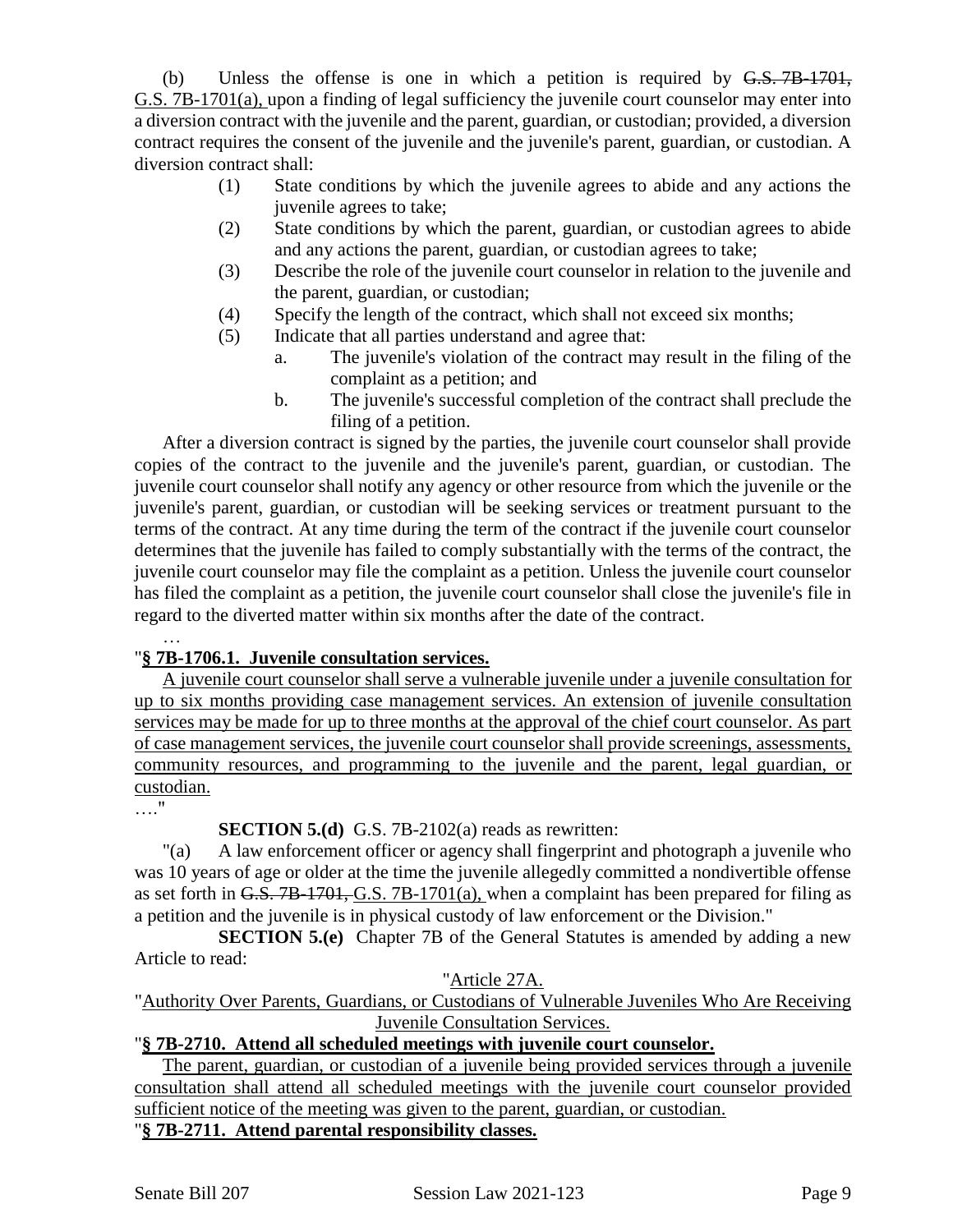(b) Unless the offense is one in which a petition is required by  $G.S. 7B-1701$ , G.S. 7B-1701(a), upon a finding of legal sufficiency the juvenile court counselor may enter into a diversion contract with the juvenile and the parent, guardian, or custodian; provided, a diversion contract requires the consent of the juvenile and the juvenile's parent, guardian, or custodian. A diversion contract shall:

- (1) State conditions by which the juvenile agrees to abide and any actions the juvenile agrees to take;
- (2) State conditions by which the parent, guardian, or custodian agrees to abide and any actions the parent, guardian, or custodian agrees to take;
- (3) Describe the role of the juvenile court counselor in relation to the juvenile and the parent, guardian, or custodian;
- (4) Specify the length of the contract, which shall not exceed six months;
- (5) Indicate that all parties understand and agree that:
	- a. The juvenile's violation of the contract may result in the filing of the complaint as a petition; and
	- b. The juvenile's successful completion of the contract shall preclude the filing of a petition.

After a diversion contract is signed by the parties, the juvenile court counselor shall provide copies of the contract to the juvenile and the juvenile's parent, guardian, or custodian. The juvenile court counselor shall notify any agency or other resource from which the juvenile or the juvenile's parent, guardian, or custodian will be seeking services or treatment pursuant to the terms of the contract. At any time during the term of the contract if the juvenile court counselor determines that the juvenile has failed to comply substantially with the terms of the contract, the juvenile court counselor may file the complaint as a petition. Unless the juvenile court counselor has filed the complaint as a petition, the juvenile court counselor shall close the juvenile's file in regard to the diverted matter within six months after the date of the contract.

## "**§ 7B-1706.1. Juvenile consultation services.**

A juvenile court counselor shall serve a vulnerable juvenile under a juvenile consultation for up to six months providing case management services. An extension of juvenile consultation services may be made for up to three months at the approval of the chief court counselor. As part of case management services, the juvenile court counselor shall provide screenings, assessments, community resources, and programming to the juvenile and the parent, legal guardian, or custodian.

…."

…

# **SECTION 5.(d)** G.S. 7B-2102(a) reads as rewritten:

"(a) A law enforcement officer or agency shall fingerprint and photograph a juvenile who was 10 years of age or older at the time the juvenile allegedly committed a nondivertible offense as set forth in G.S. 7B-1701, G.S. 7B-1701(a), when a complaint has been prepared for filing as a petition and the juvenile is in physical custody of law enforcement or the Division."

**SECTION 5.(e)** Chapter 7B of the General Statutes is amended by adding a new Article to read:

### "Article 27A.

"Authority Over Parents, Guardians, or Custodians of Vulnerable Juveniles Who Are Receiving Juvenile Consultation Services.

# "**§ 7B-2710. Attend all scheduled meetings with juvenile court counselor.**

The parent, guardian, or custodian of a juvenile being provided services through a juvenile consultation shall attend all scheduled meetings with the juvenile court counselor provided sufficient notice of the meeting was given to the parent, guardian, or custodian.

"**§ 7B-2711. Attend parental responsibility classes.**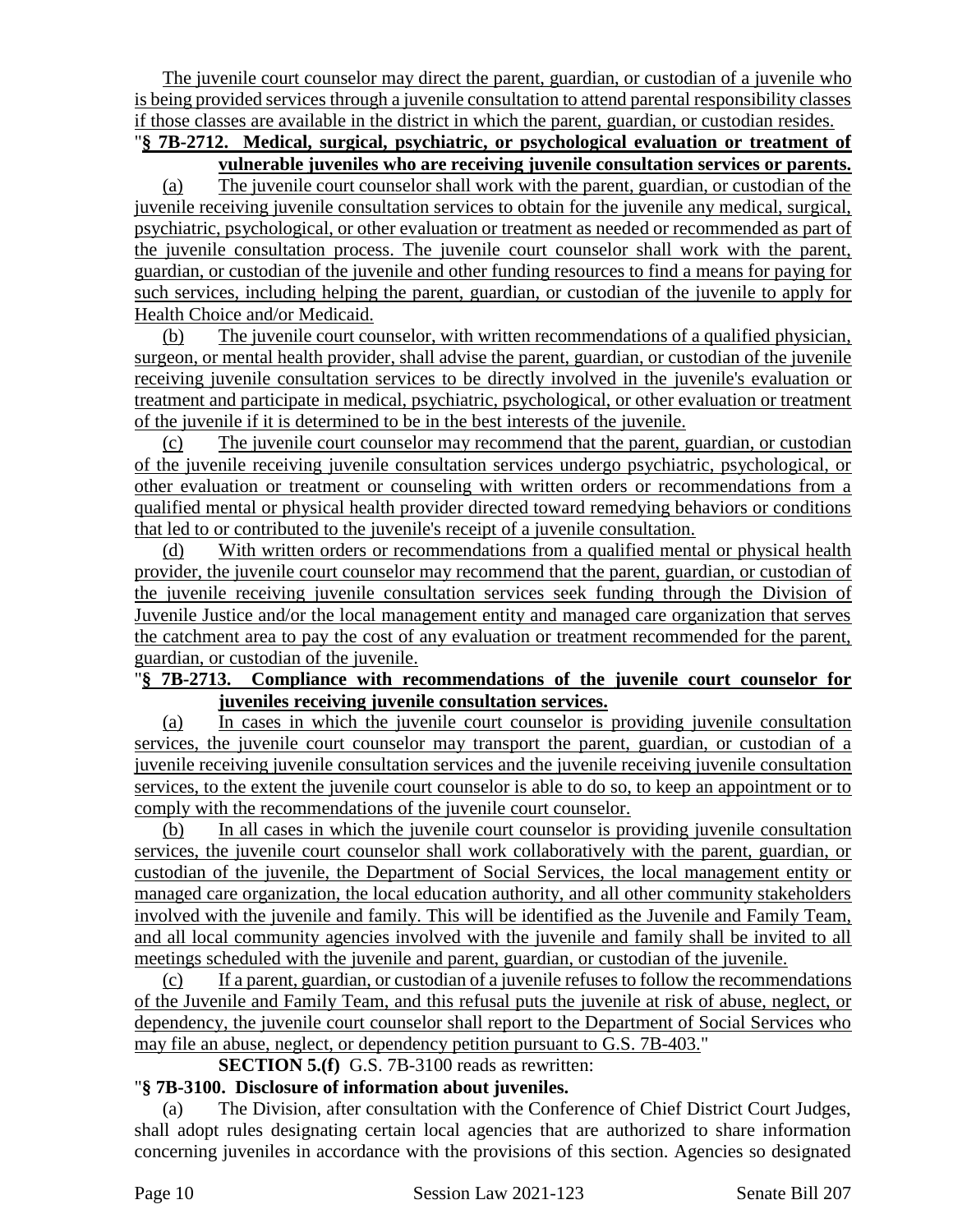The juvenile court counselor may direct the parent, guardian, or custodian of a juvenile who is being provided services through a juvenile consultation to attend parental responsibility classes if those classes are available in the district in which the parent, guardian, or custodian resides.

## "**§ 7B-2712. Medical, surgical, psychiatric, or psychological evaluation or treatment of vulnerable juveniles who are receiving juvenile consultation services or parents.**

(a) The juvenile court counselor shall work with the parent, guardian, or custodian of the juvenile receiving juvenile consultation services to obtain for the juvenile any medical, surgical, psychiatric, psychological, or other evaluation or treatment as needed or recommended as part of the juvenile consultation process. The juvenile court counselor shall work with the parent, guardian, or custodian of the juvenile and other funding resources to find a means for paying for such services, including helping the parent, guardian, or custodian of the juvenile to apply for Health Choice and/or Medicaid.

(b) The juvenile court counselor, with written recommendations of a qualified physician, surgeon, or mental health provider, shall advise the parent, guardian, or custodian of the juvenile receiving juvenile consultation services to be directly involved in the juvenile's evaluation or treatment and participate in medical, psychiatric, psychological, or other evaluation or treatment of the juvenile if it is determined to be in the best interests of the juvenile.

(c) The juvenile court counselor may recommend that the parent, guardian, or custodian of the juvenile receiving juvenile consultation services undergo psychiatric, psychological, or other evaluation or treatment or counseling with written orders or recommendations from a qualified mental or physical health provider directed toward remedying behaviors or conditions that led to or contributed to the juvenile's receipt of a juvenile consultation.

(d) With written orders or recommendations from a qualified mental or physical health provider, the juvenile court counselor may recommend that the parent, guardian, or custodian of the juvenile receiving juvenile consultation services seek funding through the Division of Juvenile Justice and/or the local management entity and managed care organization that serves the catchment area to pay the cost of any evaluation or treatment recommended for the parent, guardian, or custodian of the juvenile.

### "**§ 7B-2713. Compliance with recommendations of the juvenile court counselor for juveniles receiving juvenile consultation services.**

(a) In cases in which the juvenile court counselor is providing juvenile consultation services, the juvenile court counselor may transport the parent, guardian, or custodian of a juvenile receiving juvenile consultation services and the juvenile receiving juvenile consultation services, to the extent the juvenile court counselor is able to do so, to keep an appointment or to comply with the recommendations of the juvenile court counselor.

(b) In all cases in which the juvenile court counselor is providing juvenile consultation services, the juvenile court counselor shall work collaboratively with the parent, guardian, or custodian of the juvenile, the Department of Social Services, the local management entity or managed care organization, the local education authority, and all other community stakeholders involved with the juvenile and family. This will be identified as the Juvenile and Family Team, and all local community agencies involved with the juvenile and family shall be invited to all meetings scheduled with the juvenile and parent, guardian, or custodian of the juvenile.

(c) If a parent, guardian, or custodian of a juvenile refuses to follow the recommendations of the Juvenile and Family Team, and this refusal puts the juvenile at risk of abuse, neglect, or dependency, the juvenile court counselor shall report to the Department of Social Services who may file an abuse, neglect, or dependency petition pursuant to G.S. 7B-403."

## **SECTION 5.(f)** G.S. 7B-3100 reads as rewritten:

## "**§ 7B-3100. Disclosure of information about juveniles.**

(a) The Division, after consultation with the Conference of Chief District Court Judges, shall adopt rules designating certain local agencies that are authorized to share information concerning juveniles in accordance with the provisions of this section. Agencies so designated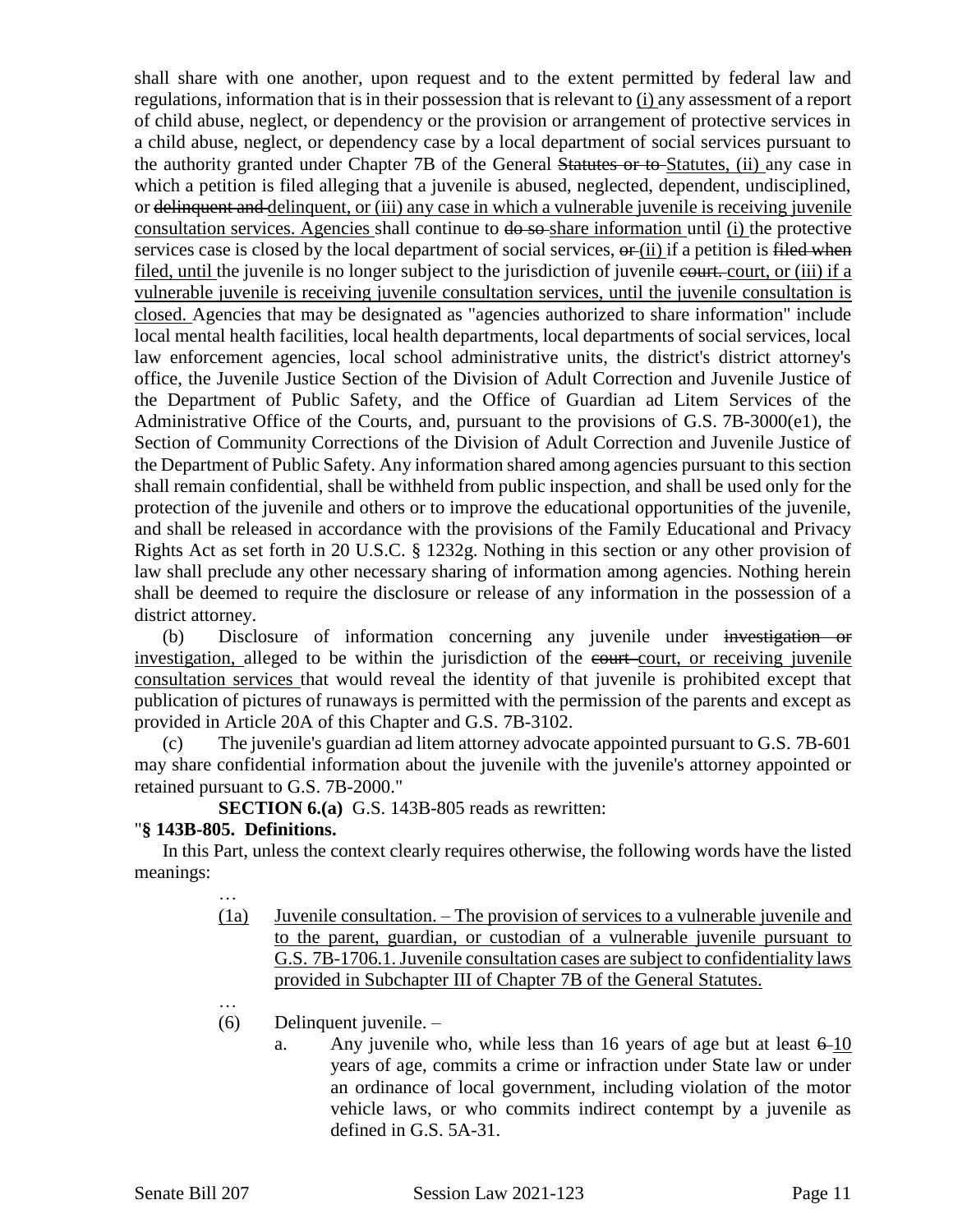shall share with one another, upon request and to the extent permitted by federal law and regulations, information that is in their possession that is relevant to (i) any assessment of a report of child abuse, neglect, or dependency or the provision or arrangement of protective services in a child abuse, neglect, or dependency case by a local department of social services pursuant to the authority granted under Chapter 7B of the General Statutes or to Statutes, (ii) any case in which a petition is filed alleging that a juvenile is abused, neglected, dependent, undisciplined, or delinquent and delinquent, or (iii) any case in which a vulnerable juvenile is receiving juvenile consultation services. Agencies shall continue to  $\theta \rightarrow \theta$  so share information until (i) the protective services case is closed by the local department of social services,  $\sigma$  (ii) if a petition is filed when filed, until the juvenile is no longer subject to the jurisdiction of juvenile court. court, or (iii) if a vulnerable juvenile is receiving juvenile consultation services, until the juvenile consultation is closed. Agencies that may be designated as "agencies authorized to share information" include local mental health facilities, local health departments, local departments of social services, local law enforcement agencies, local school administrative units, the district's district attorney's office, the Juvenile Justice Section of the Division of Adult Correction and Juvenile Justice of the Department of Public Safety, and the Office of Guardian ad Litem Services of the Administrative Office of the Courts, and, pursuant to the provisions of G.S. 7B-3000(e1), the Section of Community Corrections of the Division of Adult Correction and Juvenile Justice of the Department of Public Safety. Any information shared among agencies pursuant to this section shall remain confidential, shall be withheld from public inspection, and shall be used only for the protection of the juvenile and others or to improve the educational opportunities of the juvenile, and shall be released in accordance with the provisions of the Family Educational and Privacy Rights Act as set forth in 20 U.S.C. § 1232g. Nothing in this section or any other provision of law shall preclude any other necessary sharing of information among agencies. Nothing herein shall be deemed to require the disclosure or release of any information in the possession of a district attorney.

(b) Disclosure of information concerning any juvenile under investigation or investigation, alleged to be within the jurisdiction of the court court, or receiving juvenile consultation services that would reveal the identity of that juvenile is prohibited except that publication of pictures of runaways is permitted with the permission of the parents and except as provided in Article 20A of this Chapter and G.S. 7B-3102.

(c) The juvenile's guardian ad litem attorney advocate appointed pursuant to G.S. 7B-601 may share confidential information about the juvenile with the juvenile's attorney appointed or retained pursuant to G.S. 7B-2000."

**SECTION 6.(a)** G.S. 143B-805 reads as rewritten:

## "**§ 143B-805. Definitions.**

…

…

In this Part, unless the context clearly requires otherwise, the following words have the listed meanings:

- (1a) Juvenile consultation. The provision of services to a vulnerable juvenile and to the parent, guardian, or custodian of a vulnerable juvenile pursuant to G.S. 7B-1706.1. Juvenile consultation cases are subject to confidentiality laws provided in Subchapter III of Chapter 7B of the General Statutes.
- (6) Delinquent juvenile.
	- a. Any juvenile who, while less than 16 years of age but at least  $6\text{-}10$ years of age, commits a crime or infraction under State law or under an ordinance of local government, including violation of the motor vehicle laws, or who commits indirect contempt by a juvenile as defined in G.S. 5A-31.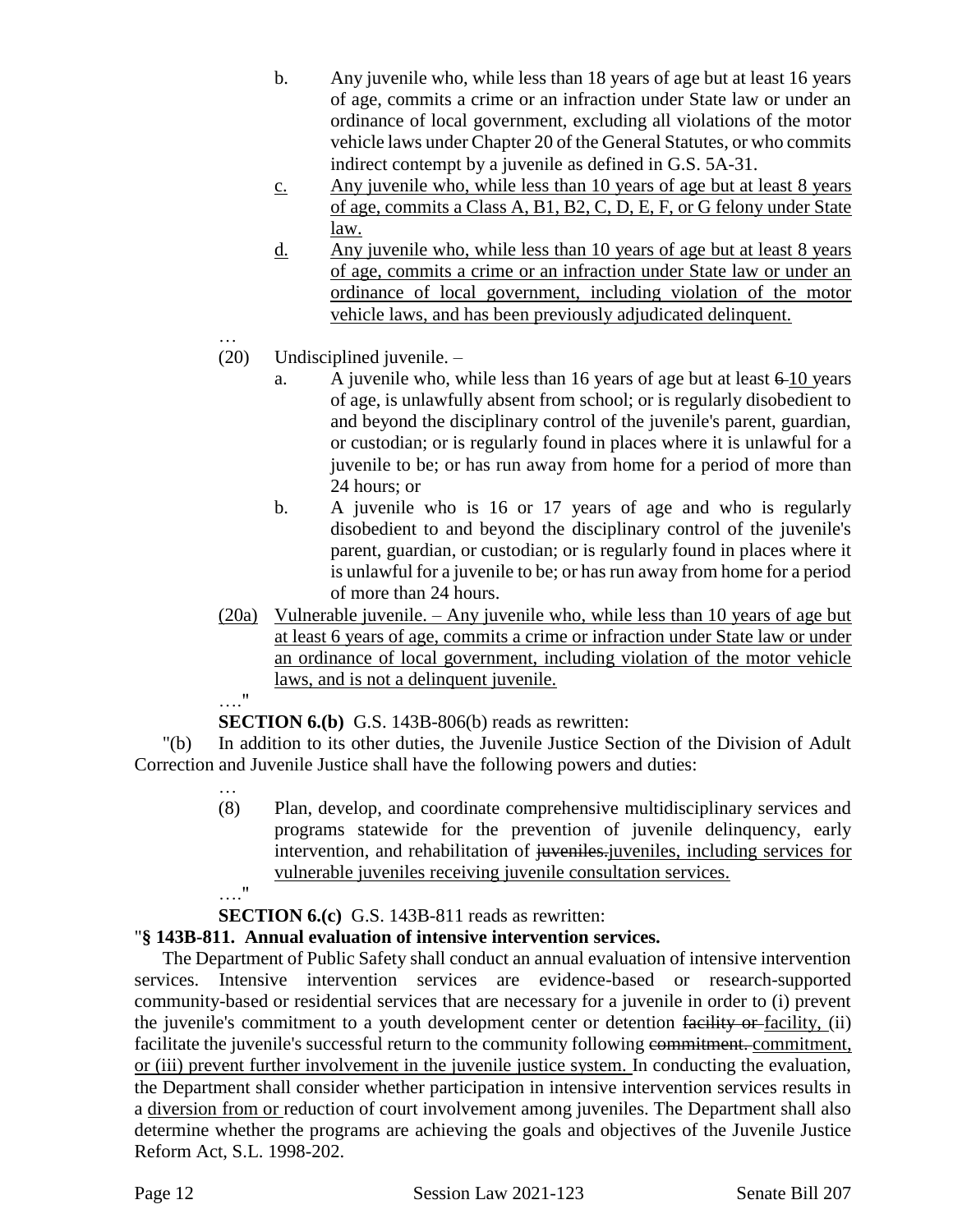- b. Any juvenile who, while less than 18 years of age but at least 16 years of age, commits a crime or an infraction under State law or under an ordinance of local government, excluding all violations of the motor vehicle laws under Chapter 20 of the General Statutes, or who commits indirect contempt by a juvenile as defined in G.S. 5A-31.
- c. Any juvenile who, while less than 10 years of age but at least 8 years of age, commits a Class A, B1, B2, C, D, E, F, or G felony under State law.
- d. Any juvenile who, while less than 10 years of age but at least 8 years of age, commits a crime or an infraction under State law or under an ordinance of local government, including violation of the motor vehicle laws, and has been previously adjudicated delinquent.
- … (20) Undisciplined juvenile. –
	- a. A juvenile who, while less than 16 years of age but at least 6 10 years of age, is unlawfully absent from school; or is regularly disobedient to and beyond the disciplinary control of the juvenile's parent, guardian, or custodian; or is regularly found in places where it is unlawful for a juvenile to be; or has run away from home for a period of more than 24 hours; or
	- b. A juvenile who is 16 or 17 years of age and who is regularly disobedient to and beyond the disciplinary control of the juvenile's parent, guardian, or custodian; or is regularly found in places where it is unlawful for a juvenile to be; or has run away from home for a period of more than 24 hours.
- (20a) Vulnerable juvenile. Any juvenile who, while less than 10 years of age but at least 6 years of age, commits a crime or infraction under State law or under an ordinance of local government, including violation of the motor vehicle laws, and is not a delinquent juvenile.

#### …."

…

**SECTION 6.(b)** G.S. 143B-806(b) reads as rewritten:

"(b) In addition to its other duties, the Juvenile Justice Section of the Division of Adult Correction and Juvenile Justice shall have the following powers and duties:

- (8) Plan, develop, and coordinate comprehensive multidisciplinary services and programs statewide for the prevention of juvenile delinquency, early intervention, and rehabilitation of juveniles-juveniles, including services for vulnerable juveniles receiving juvenile consultation services.
- …."

**SECTION 6.(c)** G.S. 143B-811 reads as rewritten:

# "**§ 143B-811. Annual evaluation of intensive intervention services.**

The Department of Public Safety shall conduct an annual evaluation of intensive intervention services. Intensive intervention services are evidence-based or research-supported community-based or residential services that are necessary for a juvenile in order to (i) prevent the juvenile's commitment to a youth development center or detention facility or facility, (ii) facilitate the juvenile's successful return to the community following commitment. commitment, or (iii) prevent further involvement in the juvenile justice system. In conducting the evaluation, the Department shall consider whether participation in intensive intervention services results in a diversion from or reduction of court involvement among juveniles. The Department shall also determine whether the programs are achieving the goals and objectives of the Juvenile Justice Reform Act, S.L. 1998-202.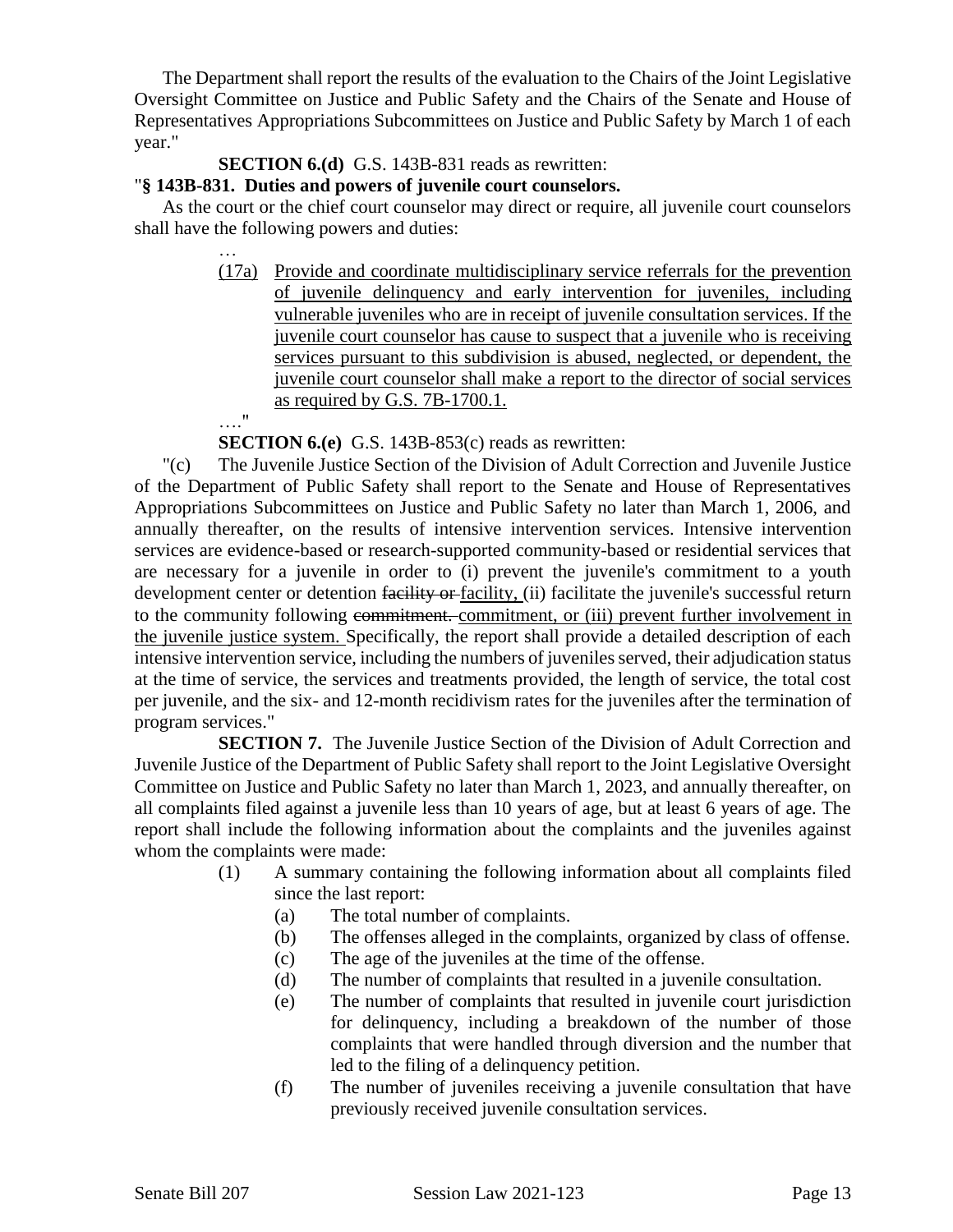The Department shall report the results of the evaluation to the Chairs of the Joint Legislative Oversight Committee on Justice and Public Safety and the Chairs of the Senate and House of Representatives Appropriations Subcommittees on Justice and Public Safety by March 1 of each year."

### **SECTION 6.(d)** G.S. 143B-831 reads as rewritten:

#### "**§ 143B-831. Duties and powers of juvenile court counselors.**

As the court or the chief court counselor may direct or require, all juvenile court counselors shall have the following powers and duties:

> (17a) Provide and coordinate multidisciplinary service referrals for the prevention of juvenile delinquency and early intervention for juveniles, including vulnerable juveniles who are in receipt of juvenile consultation services. If the juvenile court counselor has cause to suspect that a juvenile who is receiving services pursuant to this subdivision is abused, neglected, or dependent, the juvenile court counselor shall make a report to the director of social services as required by G.S. 7B-1700.1.

…."

…

**SECTION 6.(e)** G.S. 143B-853(c) reads as rewritten:

"(c) The Juvenile Justice Section of the Division of Adult Correction and Juvenile Justice of the Department of Public Safety shall report to the Senate and House of Representatives Appropriations Subcommittees on Justice and Public Safety no later than March 1, 2006, and annually thereafter, on the results of intensive intervention services. Intensive intervention services are evidence-based or research-supported community-based or residential services that are necessary for a juvenile in order to (i) prevent the juvenile's commitment to a youth development center or detention facility or facility, (ii) facilitate the juvenile's successful return to the community following commitment. commitment, or (iii) prevent further involvement in the juvenile justice system. Specifically, the report shall provide a detailed description of each intensive intervention service, including the numbers of juveniles served, their adjudication status at the time of service, the services and treatments provided, the length of service, the total cost per juvenile, and the six- and 12-month recidivism rates for the juveniles after the termination of program services."

**SECTION 7.** The Juvenile Justice Section of the Division of Adult Correction and Juvenile Justice of the Department of Public Safety shall report to the Joint Legislative Oversight Committee on Justice and Public Safety no later than March 1, 2023, and annually thereafter, on all complaints filed against a juvenile less than 10 years of age, but at least 6 years of age. The report shall include the following information about the complaints and the juveniles against whom the complaints were made:

- (1) A summary containing the following information about all complaints filed since the last report:
	- (a) The total number of complaints.
	- (b) The offenses alleged in the complaints, organized by class of offense.
	- (c) The age of the juveniles at the time of the offense.
	- (d) The number of complaints that resulted in a juvenile consultation.
	- (e) The number of complaints that resulted in juvenile court jurisdiction for delinquency, including a breakdown of the number of those complaints that were handled through diversion and the number that led to the filing of a delinquency petition.
	- (f) The number of juveniles receiving a juvenile consultation that have previously received juvenile consultation services.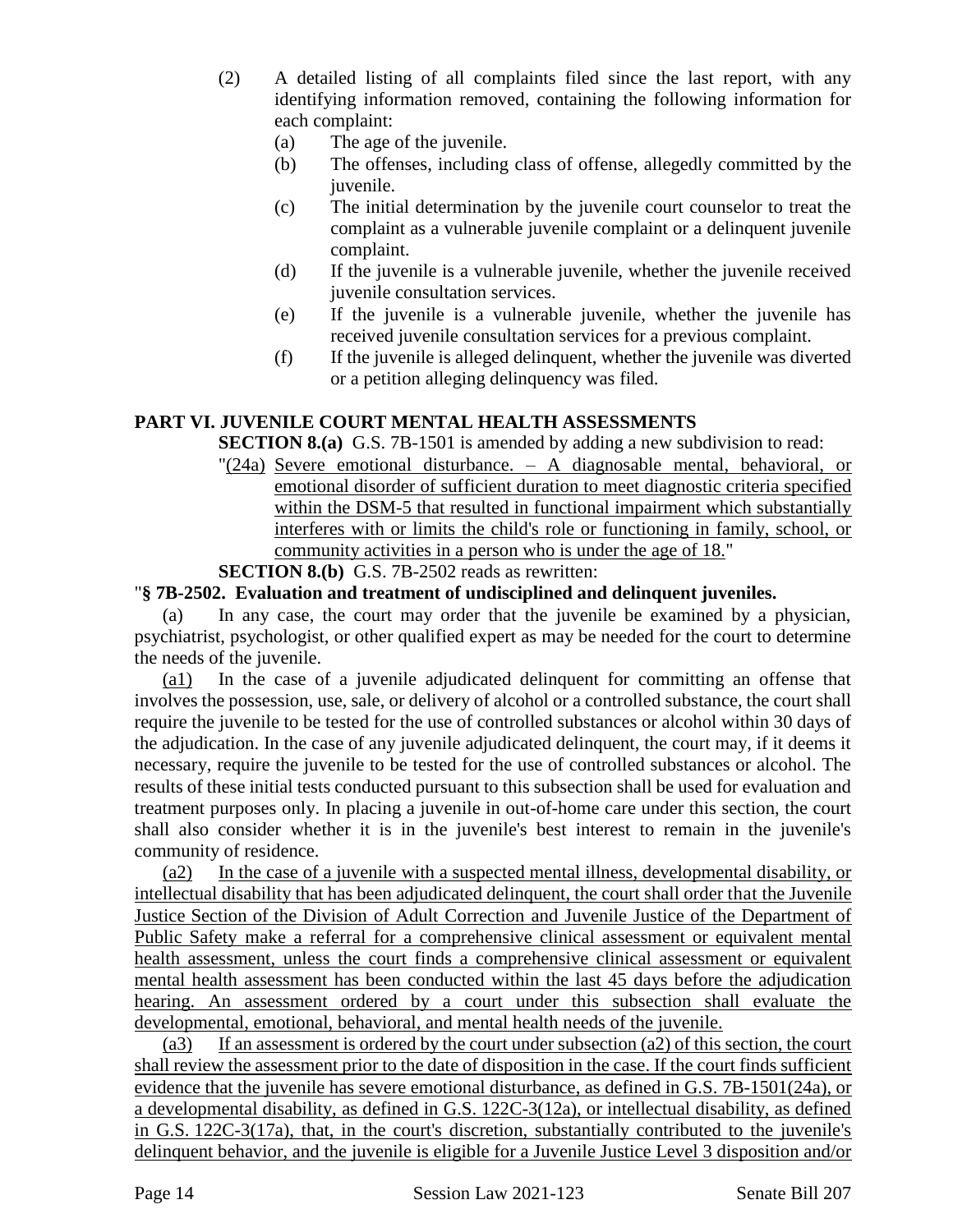- (2) A detailed listing of all complaints filed since the last report, with any identifying information removed, containing the following information for each complaint:
	- (a) The age of the juvenile.
	- (b) The offenses, including class of offense, allegedly committed by the juvenile.
	- (c) The initial determination by the juvenile court counselor to treat the complaint as a vulnerable juvenile complaint or a delinquent juvenile complaint.
	- (d) If the juvenile is a vulnerable juvenile, whether the juvenile received juvenile consultation services.
	- (e) If the juvenile is a vulnerable juvenile, whether the juvenile has received juvenile consultation services for a previous complaint.
	- (f) If the juvenile is alleged delinquent, whether the juvenile was diverted or a petition alleging delinquency was filed.

## **PART VI. JUVENILE COURT MENTAL HEALTH ASSESSMENTS**

**SECTION 8.(a)** G.S. 7B-1501 is amended by adding a new subdivision to read:

"(24a) Severe emotional disturbance. – A diagnosable mental, behavioral, or emotional disorder of sufficient duration to meet diagnostic criteria specified within the DSM-5 that resulted in functional impairment which substantially interferes with or limits the child's role or functioning in family, school, or community activities in a person who is under the age of 18."

# **SECTION 8.(b)** G.S. 7B-2502 reads as rewritten:

### "**§ 7B-2502. Evaluation and treatment of undisciplined and delinquent juveniles.**

(a) In any case, the court may order that the juvenile be examined by a physician, psychiatrist, psychologist, or other qualified expert as may be needed for the court to determine the needs of the juvenile.

(a1) In the case of a juvenile adjudicated delinquent for committing an offense that involves the possession, use, sale, or delivery of alcohol or a controlled substance, the court shall require the juvenile to be tested for the use of controlled substances or alcohol within 30 days of the adjudication. In the case of any juvenile adjudicated delinquent, the court may, if it deems it necessary, require the juvenile to be tested for the use of controlled substances or alcohol. The results of these initial tests conducted pursuant to this subsection shall be used for evaluation and treatment purposes only. In placing a juvenile in out-of-home care under this section, the court shall also consider whether it is in the juvenile's best interest to remain in the juvenile's community of residence.

(a2) In the case of a juvenile with a suspected mental illness, developmental disability, or intellectual disability that has been adjudicated delinquent, the court shall order that the Juvenile Justice Section of the Division of Adult Correction and Juvenile Justice of the Department of Public Safety make a referral for a comprehensive clinical assessment or equivalent mental health assessment, unless the court finds a comprehensive clinical assessment or equivalent mental health assessment has been conducted within the last 45 days before the adjudication hearing. An assessment ordered by a court under this subsection shall evaluate the developmental, emotional, behavioral, and mental health needs of the juvenile.

(a3) If an assessment is ordered by the court under subsection (a2) of this section, the court shall review the assessment prior to the date of disposition in the case. If the court finds sufficient evidence that the juvenile has severe emotional disturbance, as defined in G.S. 7B-1501(24a), or a developmental disability, as defined in G.S. 122C-3(12a), or intellectual disability, as defined in G.S. 122C-3(17a), that, in the court's discretion, substantially contributed to the juvenile's delinquent behavior, and the juvenile is eligible for a Juvenile Justice Level 3 disposition and/or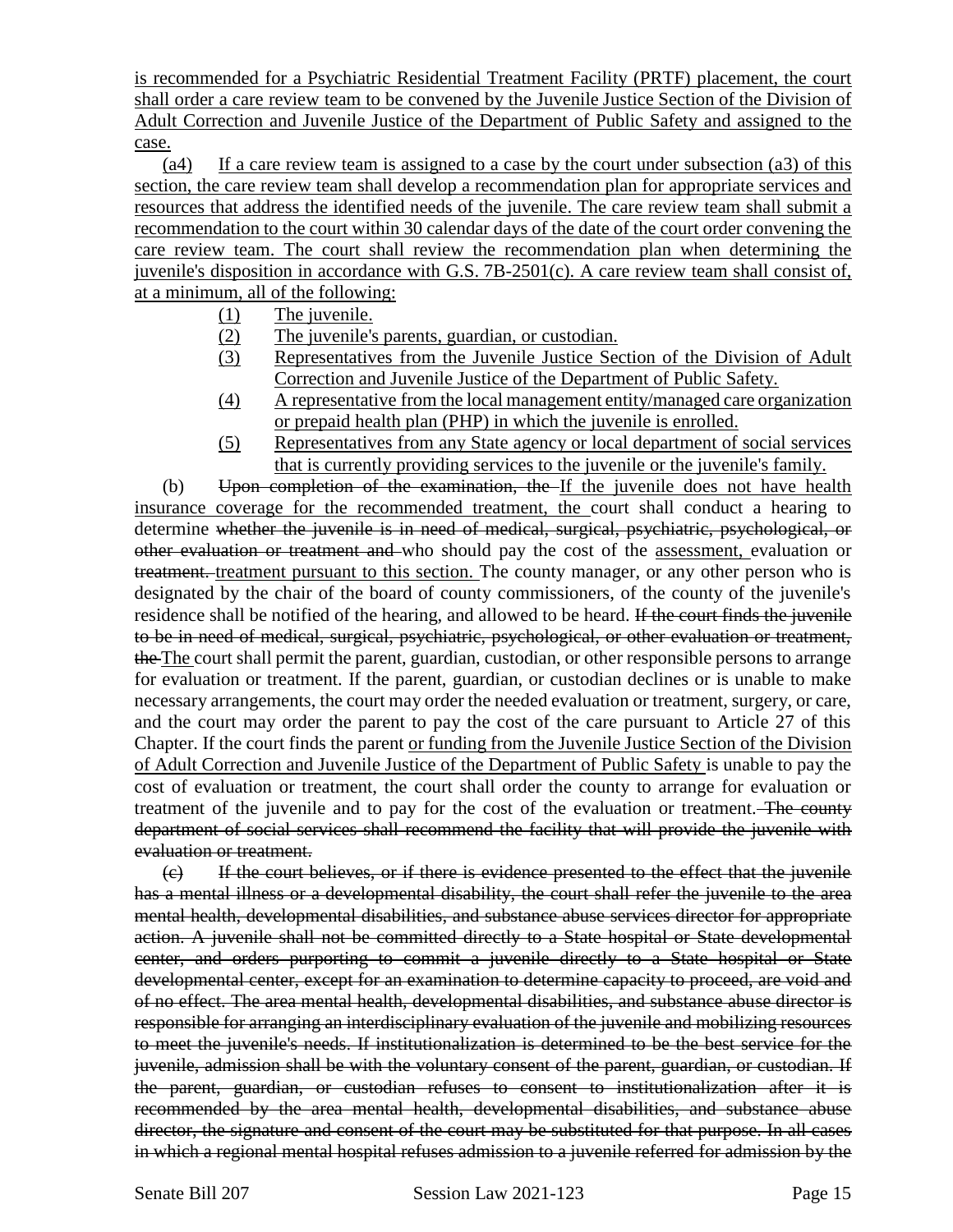is recommended for a Psychiatric Residential Treatment Facility (PRTF) placement, the court shall order a care review team to be convened by the Juvenile Justice Section of the Division of Adult Correction and Juvenile Justice of the Department of Public Safety and assigned to the case.

(a4) If a care review team is assigned to a case by the court under subsection (a3) of this section, the care review team shall develop a recommendation plan for appropriate services and resources that address the identified needs of the juvenile. The care review team shall submit a recommendation to the court within 30 calendar days of the date of the court order convening the care review team. The court shall review the recommendation plan when determining the juvenile's disposition in accordance with G.S. 7B-2501(c). A care review team shall consist of, at a minimum, all of the following:

- (1) The juvenile.
- (2) The juvenile's parents, guardian, or custodian.
- (3) Representatives from the Juvenile Justice Section of the Division of Adult Correction and Juvenile Justice of the Department of Public Safety.
- (4) A representative from the local management entity/managed care organization or prepaid health plan (PHP) in which the juvenile is enrolled.
- (5) Representatives from any State agency or local department of social services that is currently providing services to the juvenile or the juvenile's family.

(b) Upon completion of the examination, the If the juvenile does not have health insurance coverage for the recommended treatment, the court shall conduct a hearing to determine whether the juvenile is in need of medical, surgical, psychiatric, psychological, or other evaluation or treatment and who should pay the cost of the assessment, evaluation or treatment. treatment pursuant to this section. The county manager, or any other person who is designated by the chair of the board of county commissioners, of the county of the juvenile's residence shall be notified of the hearing, and allowed to be heard. If the court finds the juvenile to be in need of medical, surgical, psychiatric, psychological, or other evaluation or treatment, the The court shall permit the parent, guardian, custodian, or other responsible persons to arrange for evaluation or treatment. If the parent, guardian, or custodian declines or is unable to make necessary arrangements, the court may order the needed evaluation or treatment, surgery, or care, and the court may order the parent to pay the cost of the care pursuant to Article 27 of this Chapter. If the court finds the parent or funding from the Juvenile Justice Section of the Division of Adult Correction and Juvenile Justice of the Department of Public Safety is unable to pay the cost of evaluation or treatment, the court shall order the county to arrange for evaluation or treatment of the juvenile and to pay for the cost of the evaluation or treatment. The county department of social services shall recommend the facility that will provide the juvenile with evaluation or treatment.

(c) If the court believes, or if there is evidence presented to the effect that the juvenile has a mental illness or a developmental disability, the court shall refer the juvenile to the area mental health, developmental disabilities, and substance abuse services director for appropriate action. A juvenile shall not be committed directly to a State hospital or State developmental center, and orders purporting to commit a juvenile directly to a State hospital or State developmental center, except for an examination to determine capacity to proceed, are void and of no effect. The area mental health, developmental disabilities, and substance abuse director is responsible for arranging an interdisciplinary evaluation of the juvenile and mobilizing resources to meet the juvenile's needs. If institutionalization is determined to be the best service for the juvenile, admission shall be with the voluntary consent of the parent, guardian, or custodian. If the parent, guardian, or custodian refuses to consent to institutionalization after it is recommended by the area mental health, developmental disabilities, and substance abuse director, the signature and consent of the court may be substituted for that purpose. In all cases in which a regional mental hospital refuses admission to a juvenile referred for admission by the